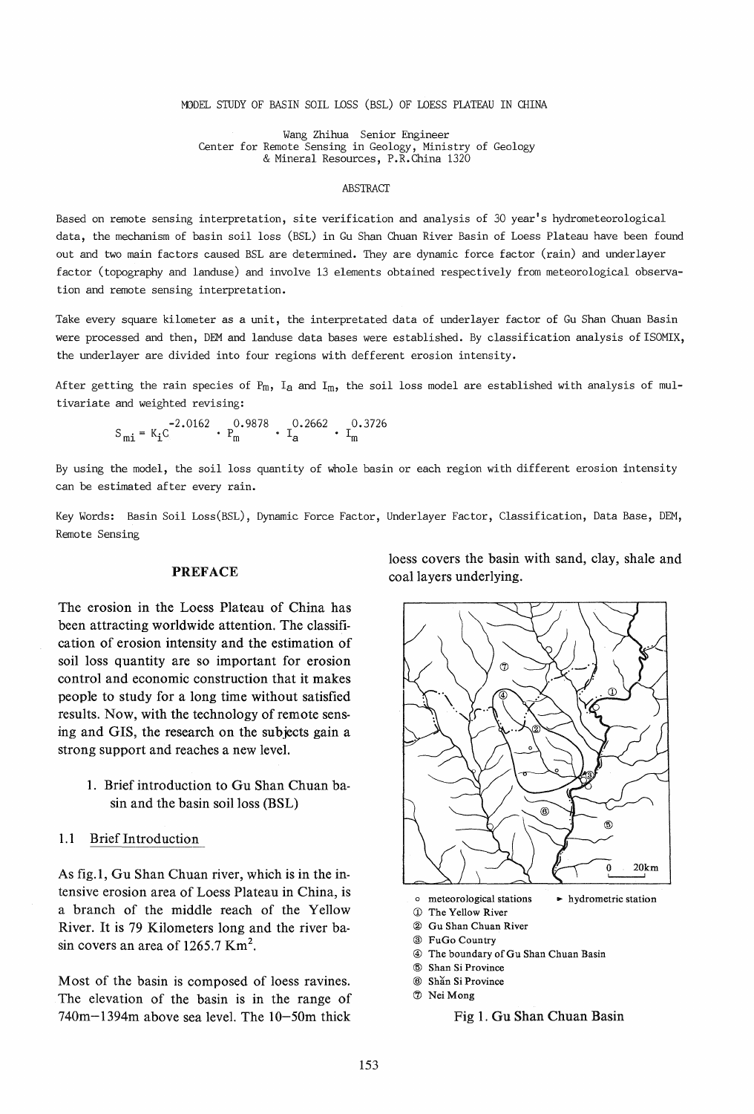#### MODEL STUDY OF BASIN SOIL LOSS (BSL) OF LOESS PLATEAU IN CHINA

Wang Zhihua Senior Engineer Center for Remote Sensing in Geology, Ministry of Geology & Mineral Resources, P.R.China 1320

#### **ABSTRACT**

Based on remote sensing interpretation, site verification and analysis of 30 year's hydrometeorological data, the mechanism of basin soil loss (BSL) in Gu Shan Chuan River Basin of Loess Plateau have been found out and two main factors caused BSL are determined. They are dynamic force factor (rain) and underlayer factor (topography and landuse) and involve 13 elements obtained respectively from meteorological observation and remote sensing interpretation.

Take every square kilometer as a unit, the interpretated data of underlayer factor of Gu Shan Chuan Basin were processed and then, DEM and landuse data bases were established. By classification analysis of ISOMIX, the underlayer are divided into four regions with defferent erosion intensity.

After getting the rain species of  $P_m$ , I<sub>a</sub> and I<sub>m</sub>, the soil loss model are established with analysis of multivariate and weighted revising:

 $\cdot$  P<sub>m</sub> 0.9878  $\cdot$  I<sub>a</sub> 0.2662  $\cdot$  I<sub>m</sub> 0.3726

By using the model, the soil loss quantity of whole basin or each region with different erosion intensity can be estimated after every rain.

Key Words: Basin Soil Loss(BSL), Dynamic Force Factor, Underlayer Factor, Classification, Data Base, DEM, Remote Sensing

#### PREFACE

The erosion in the Loess Plateau of China has been attracting worldwide attention. The classification of erosion intensity and the estimation of soil loss quantity are so important for erosion control and economic construction that it makes people to study for a long time without satisfied results. Now, with the technology of remote sensing and GIS, the research on the subjects gain a strong support and reaches a new level.

- 1. Brief introduction to Gu Shan Chuan basin and the basin soil loss (BSL)
- 1.1 Brief Introduction

As fig.I, Gu Shan Chuan river, which is in the intensive erosion area of Loess Plateau in China, is a branch of the middle reach of the Yellow River. It is 79 Kilometers long and the river basin covers an area of 1265.7  $\text{Km}^2$ .

Most of the basin is composed of loess ravines. The elevation of the basin is in the range of 740m-I394m above sea level. The IO-50m thick

loess covers the basin with sand, clay, shale and coal layers underlying.



- ® Gu Shan Chuan River
- @ FuGo Country
- 
- @ The boundary of Gu Shan Chuan Basin
- @ Shan Si Province
- ® Shan Si Province
- (J) Nei Mong

Fig 1. Gu Shan Chuan Basin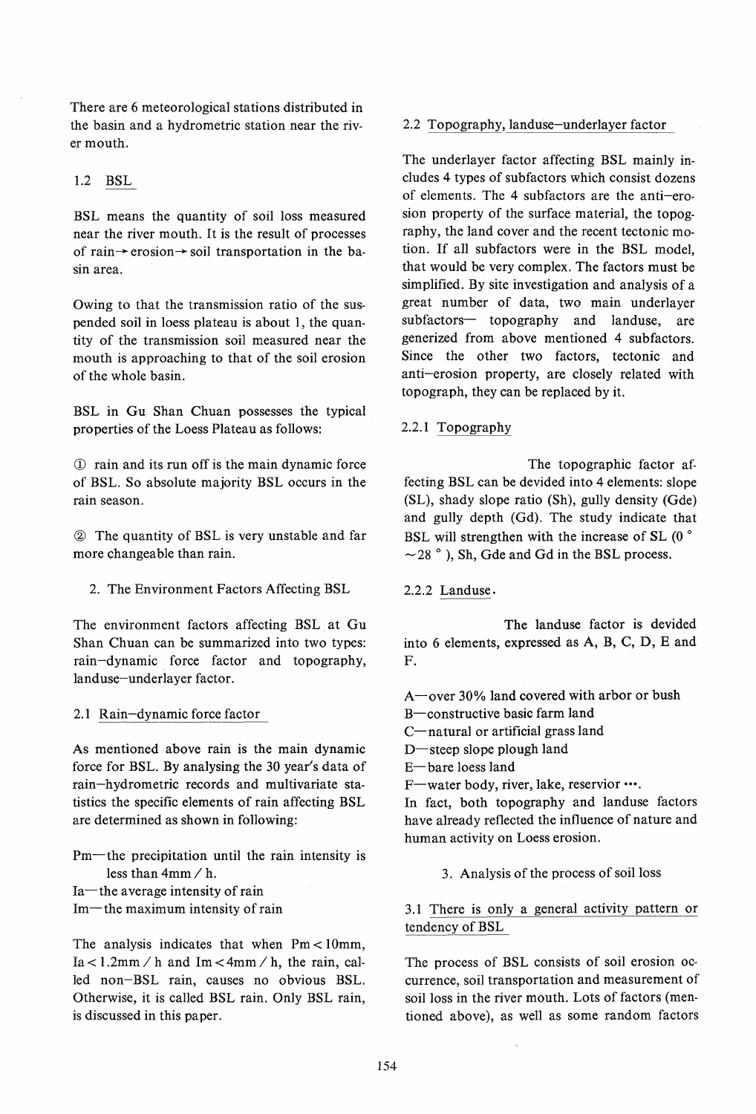There are 6 meteorological stations distributed in the basin and a hydrometric station near the river mouth.

# 1.2 BSL

BSL means the quantity of soil loss measured near the river mouth. It is the result of processes of rain $\rightarrow$  erosion $\rightarrow$  soil transportation in the basin area.

Owing to that the transmission ratio of the suspended soil in loess plateau is about 1, the quantity of the transmission soil measured near the mouth is approaching to that of the soil erosion of the whole basin.

BSL in Gu Shan Chuan possesses the typical properties of the Loess Plateau as follows:

CD rain and its run off is the main dynamic force of BSL. So absolute majority BSL occurs in the rain season.

® The quantity of BSL is very unstable and far more changeable than rain.

2. The Environment Factors Affecting BSL

The environment factors affecting BSL. at Gu Shan Chuan can be summarized into two types: rain-dynamic. force factor and topography, landuse-underlayer factor.

### 2.1 Rain-dynamic force factor

As mentioned above rain is the main dynamic force for BSL. By analysing the 30 year's data of rain-hydrometric records and multivariate statistics the specific elements of rain affecting BSL are determined as shown in following:

Pm-the precipitation until the rain intensity is less than 4mm / h. Ia-the average intensity of rain

 $Im$ —the maximum intensity of rain

The analysis indicates that when  $Pm < 10$ mm,  $Ia < 1.2$ mm / h and  $Im < 4$ mm / h, the rain, called non-BSL rain, causes no obvious BSL. Otherwise, it is called BSL rain. Only BSL rain, is discussed in this paper.

# 2.2 Topography, landuse-underlayer factor

The underlayer factor affecting BSL mainly includes 4 types of subfactors which consist dozens of elements. The 4 subfactors are the anti-erosion property of the surface material, the topography, the land cover and the recent tectonic motion. If all subfactors were in the BSL model, that would be very complex. The factors must be simplified. By site investigation and analysis of a great number of data, two main underlayer subfactors- topography and landuse, are generized from above mentioned 4 subfactors. Since the other two factors, tectonic and anti-erosion property, are closely related with topograph, they can be replaced by it.

### 2.2.1 Topography

The topographic factor affecting BSL can be devided into 4 elements: slope (SL), shady slope ratio (Sh), gully density (Gde) and gully depth (Gd). The study indicate that BSL will strengthen with the increase of SL  $(0^{\circ}$  $\sim$  28  $^{\circ}$  ), Sh, Gde and Gd in the BSL process.

### 2.2.2 Landuse.

The landuse factor is devided into 6 elements, expressed as A, B, C, D, E and F.

A-over 30% land covered with arbor or bush

B-constructive basic farm land

C-natural or artificial grass land

D-steep slope plough land

E-bare loess land

F-water body, river, lake, reservior •••.

In fact, both topography and landuse factors have already reflected the influence of nature and human activity on Loess erosion.

3. Analysis of the process of soil loss

3.1 There is only a general activity pattern or tendency of BSL

The process of BSL consists of soil erosion occurrence, soil transportation and measurement of soil loss in the river mouth. Lots of factors (mentioned above), as well as some random factors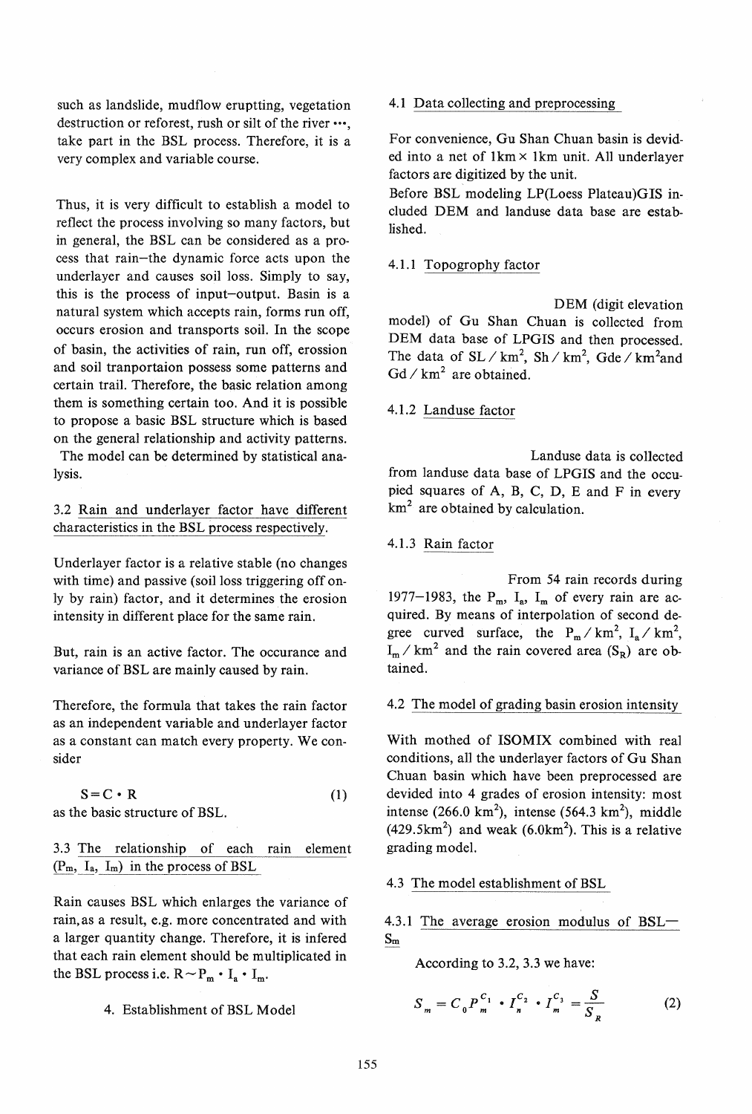such as landslide, mudflow eruptting, vegetation destruction or reforest, rush or silt of the river •••, take part in the BSL process. Therefore, it is a very complex and variable course.

Thus, it is very difficult to establish a model to reflect the process involving so many factors, but in general, the BSL can be considered as a process that rain-the dynamic force acts upon the underlayer and causes soil loss. Simply to say, this is the process of input-output. Basin is a natural system which accepts rain, forms run off, occurs erosion and transports soil. In the scope of basin, the activities of rain, run off, erossion and soil tranportaion possess some patterns and certain trail. Therefore, the basic relation among them is something certain too. And it is possible to propose a basic BSL structure which is based on the general relationship and activity patterns. The model can be determined by statistical ana-

lysis.

3.2 Rain and underlayer factor have different characteristics in the BSL process respectively.

Underlayer factor is a relative stable (no changes with time) and passive (soil loss triggering off only by rain) factor, and it determines the erosion intensity in different place for the same rain.

But, rain is an active factor. The occurance and variance of BSL are mainly caused by rain.

Therefore, the formula that takes the rain factor as an independent variable and underlayer factor as a constant can match every property. We consider

 $S=C \cdot R$  (1)

as the basic structure of BSL.

3.3 The relationship of each rain element  $(P_m, I_a, I_m)$  in the process of BSL

Rain causes BSL which enlarges the variance of rain,as a result, e.g. more concentrated and with a larger quantity change. Therefore, it is infered that each rain element should be multiplicated in the BSL process i.e.  $R \sim P_m \cdot I_a \cdot I_m$ .

4. Establishment of BSL Model

## 4.1 Data collecting and preprocessing

For convenience, Gu Shan Chuan basin is devided into a net of  $1 \text{km} \times 1 \text{km}$  unit. All underlayer factors are digitized by the unit.

Before BSL modeling LP(Loess Plateau)GIS included DEM and landuse data base are established.

# 4.l.1 Topogrophy factor

DEM (digit elevation model) of Gu Shan Chuan is collected from DEM data base of LPGIS and then processed. The data of  $SL / km^2$ ,  $Sh / km^2$ ,  $Gde / km^2$  and  $Gd / km<sup>2</sup>$  are obtained.

# 4.1.2 Landuse factor

Landuse data is collected from landuse data base of LPGIS and the occupied squares of A, B, C, D, E and F in every  $km<sup>2</sup>$  are obtained by calculation.

# 4.1.3 Rain factor

From 54 rain records during 1977-1983, the  $P_m$ ,  $I_a$ ,  $I_m$  of every rain are acquired. By means of interpolation of second degree curved surface, the  $P_m / km^2$ ,  $I_a / km^2$ ,  $I_m / km^2$  and the rain covered area  $(S_R)$  are obtained.

# 4.2 The model of grading basin erosion intensity

With mothed of ISOMIX combined with real conditions, all the underlayer factors of Gu Shan Chuan basin which have been preprocessed are devided into 4 grades of erosion intensity: most intense (266.0 km<sup>2</sup>), intense (564.3 km<sup>2</sup>), middle  $(429.5 \text{km}^2)$  and weak  $(6.0 \text{km}^2)$ . This is a relative grading model.

# 4.3 The model establishment of BSL

4.3.1 The average erosion modulus of BSL-Sm

According to 3.2, 3.3 we have:

$$
S_m = C_0 P_m^{C_1} \cdot I_n^{C_2} \cdot I_m^{C_3} = \frac{S}{S_R}
$$
 (2)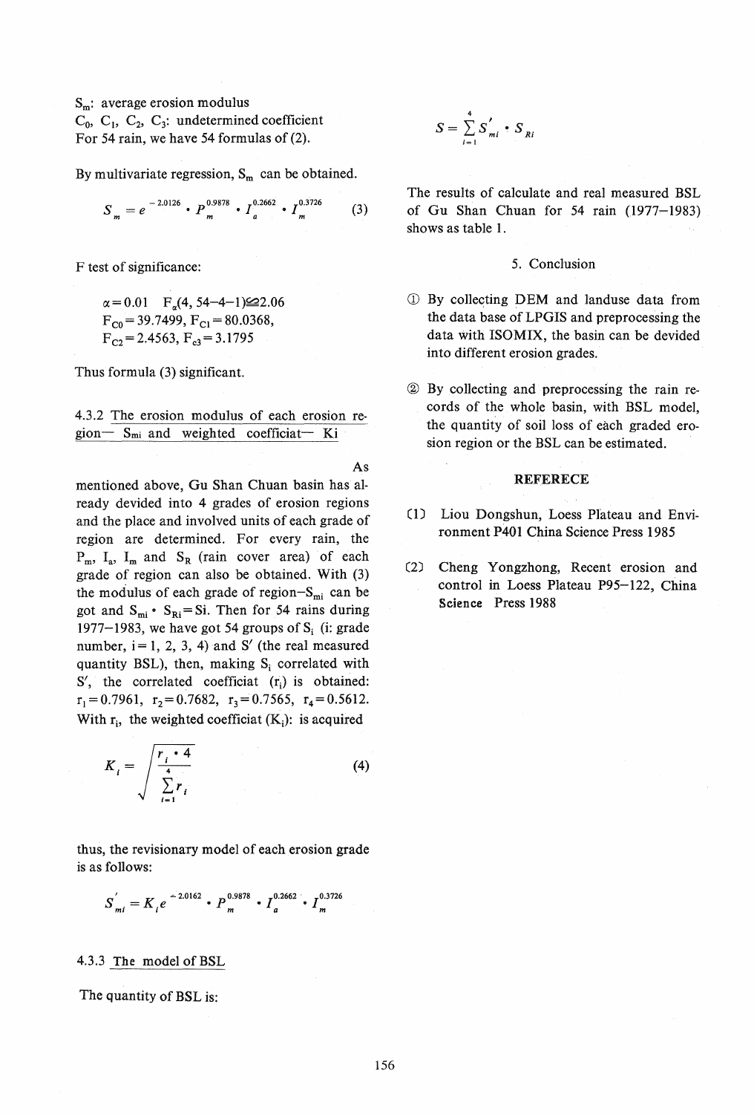$S_m$ : average erosion modulus  $C_0$ ,  $C_1$ ,  $C_2$ ,  $C_3$ : undetermined coefficient For 54 rain, we have 54 formulas of (2).

By multivariate regression,  $S_m$  can be obtained.

$$
S_m = e^{-2.0126} \cdot P_m^{0.9878} \cdot I_a^{0.2662} \cdot I_m^{0.3726}
$$
 (3)

F test of significance:

 $\alpha = 0.01$  F<sub>q</sub>(4, 54-4-1) $\leq$ 2.06  $F_{C0}$  = 39.7499,  $F_{C1}$  = 80.0368,  $F_{C2} = 2.4563, F_{c3} = 3.1795$ 

Thus formula (3) significant.

4.3.2 The erosion modulus of each erosion region- $S_{mi}$  and weighted coefficiat- Ki

As mentioned above, Gu Shan Chuan basin has already devided into 4 grades of erosion regions and the place and involved units of each grade of region are determined. For every rain, the  $P_m$ ,  $I_a$ ,  $I_m$  and  $S_R$  (rain cover area) of each grade of region can also be obtained. With (3) the modulus of each grade of region- $S<sub>mi</sub>$  can be got and  $S_{mi}$  ·  $S_{Ri} = Si$ . Then for 54 rains during 1977–1983, we have got 54 groups of  $S_i$  (i: grade number,  $i = 1, 2, 3, 4$  and S' (the real measured quantity BSL), then, making  $S_i$  correlated with  $S'$ , the correlated coefficiat  $(r_i)$  is obtained:  $r_1 = 0.7961$ ,  $r_2 = 0.7682$ ,  $r_3 = 0.7565$ ,  $r_4 = 0.5612$ . With  $r_i$ , the weighted coefficiat  $(K_i)$ : is acquired

$$
K_i = \sqrt{\frac{r_i \cdot 4}{\sum_{i=1}^{4} r_i}}
$$
 (4)

thus, the revisionary model of each erosion grade is as follows:

$$
S_{mi}^{'}=K_{i}e^{-2.0162}\cdot P_{m}^{0.9878}\cdot I_{a}^{0.2662}\cdot I_{m}^{0.3726}
$$

## 4.3.3 The model of BSL

The quantity of BSL is:

$$
S = \sum_{i=1}^{4} S'_{mi} \cdot S_{Ri}
$$

The results of calculate and real measured BSL of Gu Shan Chuan for  $54$  rain  $(1977-1983)$ shows as table 1.

### 5. Conclusion

- **1** By collecting DEM and landuse data from the data base of LPG1S and preprocessing the data with lSOMIX, the basin can be devided into different erosion grades.
- ~ By collecting and preprocessing the rain records of the whole basin, with BSL model, the quantity of soil loss of each graded erosion region or the BSL can be estimated.

#### REFERECE

- (D Liou Dongshun, Loess Plateau and Environment P401 China Science Press 1985
- (2) Cheng Y ongzhong, Recent erosion and control in Loess Plateau P95-122, China Science Press 1988